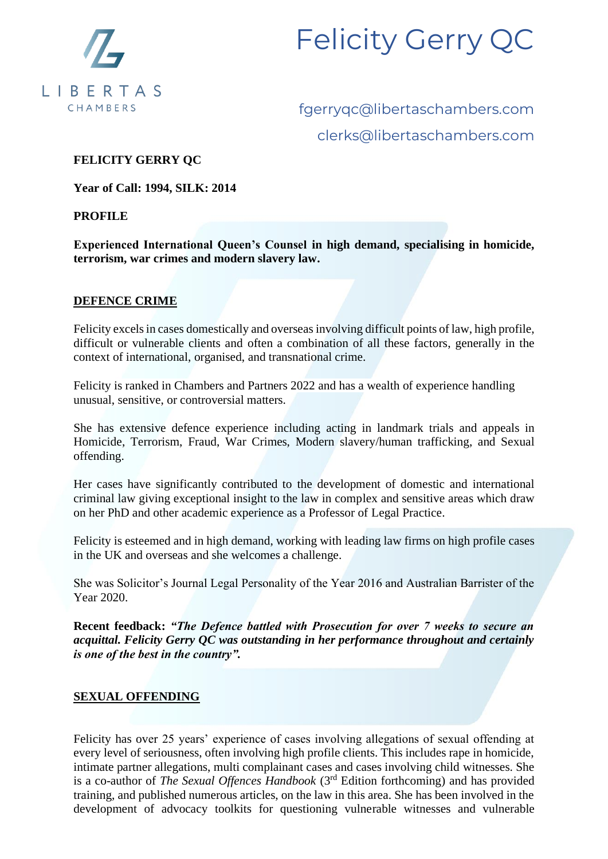

fgerryqc@libertaschambers.com clerks@libertaschambers.com

#### **FELICITY GERRY QC**

**Year of Call: 1994, SILK: 2014**

**PROFILE**

**Experienced International Queen's Counsel in high demand, specialising in homicide, terrorism, war crimes and modern slavery law.**

#### **DEFENCE CRIME**

Felicity excels in cases domestically and overseas involving difficult points of law, high profile, difficult or vulnerable clients and often a combination of all these factors, generally in the context of international, organised, and transnational crime.

Felicity is ranked in Chambers and Partners 2022 and has a wealth of experience handling unusual, sensitive, or controversial matters.

She has extensive defence experience including acting in landmark trials and appeals in Homicide, Terrorism, Fraud, War Crimes, Modern slavery/human trafficking, and Sexual offending.

Her cases have significantly contributed to the development of domestic and international criminal law giving exceptional insight to the law in complex and sensitive areas which draw on her PhD and other academic experience as a Professor of Legal Practice.

Felicity is esteemed and in high demand, working with leading law firms on high profile cases in the UK and overseas and she welcomes a challenge.

She was Solicitor's Journal Legal Personality of the Year 2016 and Australian Barrister of the Year 2020.

**Recent feedback:** *"The Defence battled with Prosecution for over 7 weeks to secure an acquittal. Felicity Gerry QC was outstanding in her performance throughout and certainly is one of the best in the country".*

#### **SEXUAL OFFENDING**

Felicity has over 25 years' experience of cases involving allegations of sexual offending at every level of seriousness, often involving high profile clients. This includes rape in homicide, intimate partner allegations, multi complainant cases and cases involving child witnesses. She is a co-author of *The Sexual Offences Handbook* (3rd Edition forthcoming) and has provided training, and published numerous articles, on the law in this area. She has been involved in the development of advocacy toolkits for questioning vulnerable witnesses and vulnerable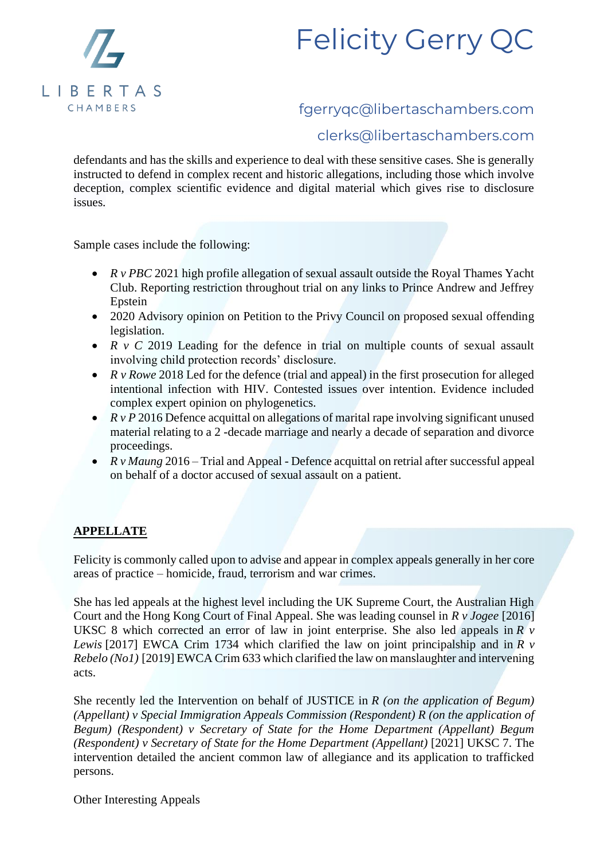

### fgerryqc@libertaschambers.com

### clerks@libertaschambers.com

defendants and has the skills and experience to deal with these sensitive cases. She is generally instructed to defend in complex recent and historic allegations, including those which involve deception, complex scientific evidence and digital material which gives rise to disclosure issues.

Sample cases include the following:

- *R v PBC* 2021 high profile allegation of sexual assault outside the Royal Thames Yacht Club. Reporting restriction throughout trial on any links to Prince Andrew and Jeffrey Epstein
- 2020 Advisory opinion on Petition to the Privy Council on proposed sexual offending legislation.
- *R v C* 2019 Leading for the defence in trial on multiple counts of sexual assault involving child protection records' disclosure.
- *R v Rowe* 2018 Led for the defence (trial and appeal) in the first prosecution for alleged intentional infection with HIV. Contested issues over intention. Evidence included complex expert opinion on phylogenetics.
- *R v P* 2016 Defence acquittal on allegations of marital rape involving significant unused material relating to a 2 -decade marriage and nearly a decade of separation and divorce proceedings.
- *R v Maung* 2016 Trial and Appeal Defence acquittal on retrial after successful appeal on behalf of a doctor accused of sexual assault on a patient.

#### **APPELLATE**

Felicity is commonly called upon to advise and appear in complex appeals generally in her core areas of practice – homicide, fraud, terrorism and war crimes.

She has led appeals at the highest level including the UK Supreme Court, the Australian High Court and the Hong Kong Court of Final Appeal. She was leading counsel in *R v Jogee* [2016] UKSC 8 which corrected an error of law in joint enterprise. She also led appeals in *R v Lewis* [2017] EWCA Crim 1734 which clarified the law on joint principalship and in *R v Rebelo (No1)* [2019] EWCA Crim 633 which clarified the law on manslaughter and intervening acts.

She recently led the Intervention on behalf of JUSTICE in *R (on the application of Begum) (Appellant) v Special Immigration Appeals Commission (Respondent) R (on the application of Begum) (Respondent) v Secretary of State for the Home Department (Appellant) Begum (Respondent) v Secretary of State for the Home Department (Appellant)* [2021] UKSC 7. The intervention detailed the ancient common law of allegiance and its application to trafficked persons.

Other Interesting Appeals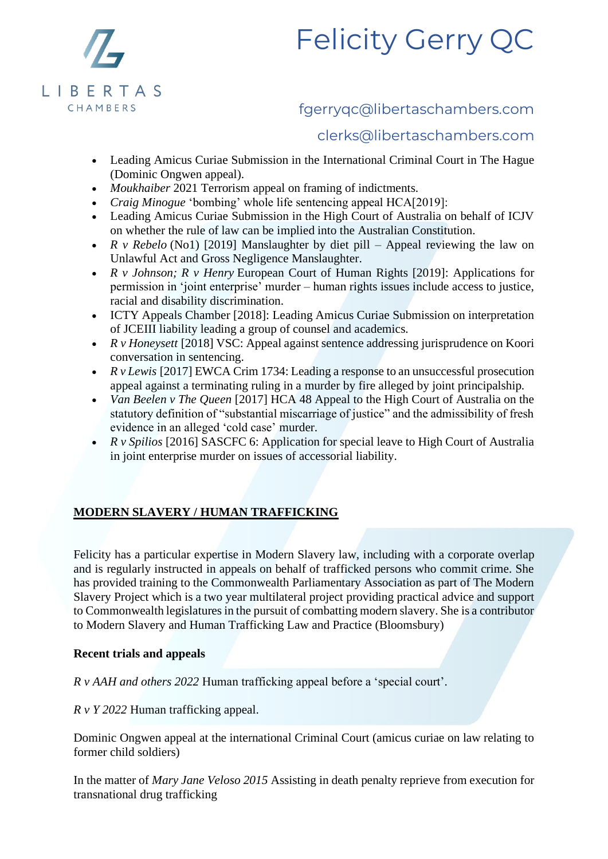

### fgerryqc@libertaschambers.com

### clerks@libertaschambers.com

- Leading Amicus Curiae Submission in the International Criminal Court in The Hague (Dominic Ongwen appeal).
- *Moukhaiber* 2021 Terrorism appeal on framing of indictments.
- *Craig Minogue* 'bombing' whole life sentencing appeal HCA[2019]:
- Leading Amicus Curiae Submission in the High Court of Australia on behalf of ICJV on whether the rule of law can be implied into the Australian Constitution.
- *R v Rebelo* (No1) [2019] Manslaughter by diet pill Appeal reviewing the law on Unlawful Act and Gross Negligence Manslaughter.
- *R v Johnson; R v Henry* European Court of Human Rights [2019]: Applications for permission in 'joint enterprise' murder – human rights issues include access to justice, racial and disability discrimination.
- ICTY Appeals Chamber [2018]: Leading Amicus Curiae Submission on interpretation of JCEIII liability leading a group of counsel and academics.
- *R v Honeysett* [2018] VSC: Appeal against sentence addressing jurisprudence on Koori conversation in sentencing.
- *R v Lewis* [2017] EWCA Crim 1734: Leading a response to an unsuccessful prosecution appeal against a terminating ruling in a murder by fire alleged by joint principalship.
- *Van Beelen v The Queen* [2017] HCA 48 Appeal to the High Court of Australia on the statutory definition of "substantial miscarriage of justice" and the admissibility of fresh evidence in an alleged 'cold case' murder.
- *R v Spilios* [2016] SASCFC 6: Application for special leave to High Court of Australia in joint enterprise murder on issues of accessorial liability.

### **MODERN SLAVERY / HUMAN TRAFFICKING**

Felicity has a particular expertise in Modern Slavery law, including with a corporate overlap and is regularly instructed in appeals on behalf of trafficked persons who commit crime. She has provided training to the Commonwealth Parliamentary Association as part of The Modern Slavery Project which is a two year multilateral project providing practical advice and support to Commonwealth legislatures in the pursuit of combatting modern slavery. She is a contributor to Modern Slavery and Human Trafficking Law and Practice (Bloomsbury)

#### **Recent trials and appeals**

*R v AAH and others 2022* Human trafficking appeal before a 'special court'*.*

*R v Y 2022* Human trafficking appeal.

Dominic Ongwen appeal at the international Criminal Court (amicus curiae on law relating to former child soldiers)

In the matter of *Mary Jane Veloso 2015* Assisting in death penalty reprieve from execution for transnational drug trafficking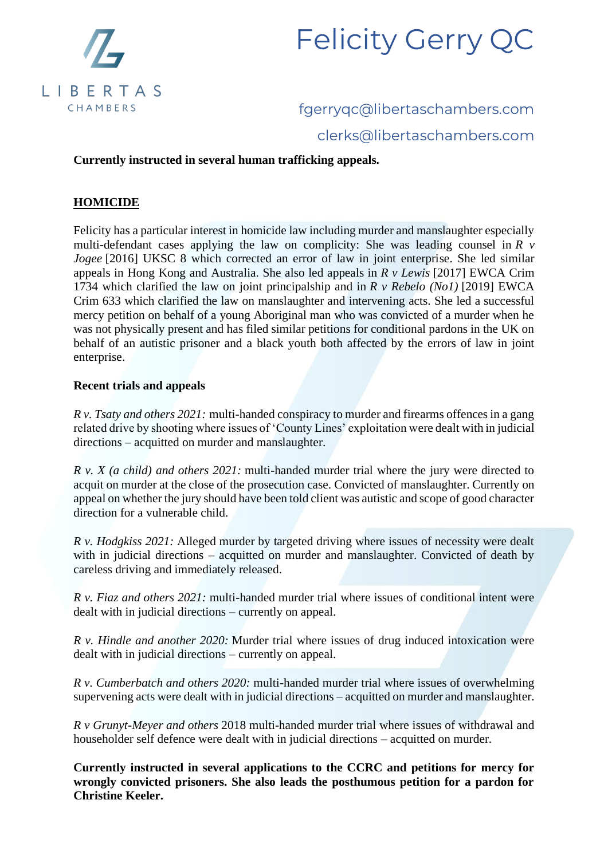

# fgerryqc@libertaschambers.com clerks@libertaschambers.com

#### **Currently instructed in several human trafficking appeals.**

#### **HOMICIDE**

Felicity has a particular interest in homicide law including murder and manslaughter especially multi-defendant cases applying the law on complicity: She was leading counsel in *R v Jogee* [2016] UKSC 8 which corrected an error of law in joint enterprise. She led similar appeals in Hong Kong and Australia. She also led appeals in *R v Lewis* [2017] EWCA Crim 1734 which clarified the law on joint principalship and in *R v Rebelo (No1)* [2019] EWCA Crim 633 which clarified the law on manslaughter and intervening acts. She led a successful mercy petition on behalf of a young Aboriginal man who was convicted of a murder when he was not physically present and has filed similar petitions for conditional pardons in the UK on behalf of an autistic prisoner and a black youth both affected by the errors of law in joint enterprise.

#### **Recent trials and appeals**

*R v. Tsaty and others 2021:* multi-handed conspiracy to murder and firearms offences in a gang related drive by shooting where issues of 'County Lines' exploitation were dealt with in judicial directions – acquitted on murder and manslaughter.

*R v. X (a child) and others 2021:* multi-handed murder trial where the jury were directed to acquit on murder at the close of the prosecution case. Convicted of manslaughter. Currently on appeal on whether the jury should have been told client was autistic and scope of good character direction for a vulnerable child.

*R v. Hodgkiss 2021:* Alleged murder by targeted driving where issues of necessity were dealt with in judicial directions – acquitted on murder and manslaughter. Convicted of death by careless driving and immediately released.

*R v. Fiaz and others 2021:* multi-handed murder trial where issues of conditional intent were dealt with in judicial directions – currently on appeal.

*R v. Hindle and another 2020:* Murder trial where issues of drug induced intoxication were dealt with in judicial directions – currently on appeal.

*R v. Cumberbatch and others 2020:* multi-handed murder trial where issues of overwhelming supervening acts were dealt with in judicial directions – acquitted on murder and manslaughter.

*R v Grunyt-Meyer and others* 2018 multi-handed murder trial where issues of withdrawal and householder self defence were dealt with in judicial directions – acquitted on murder.

**Currently instructed in several applications to the CCRC and petitions for mercy for wrongly convicted prisoners. She also leads the posthumous petition for a pardon for Christine Keeler.**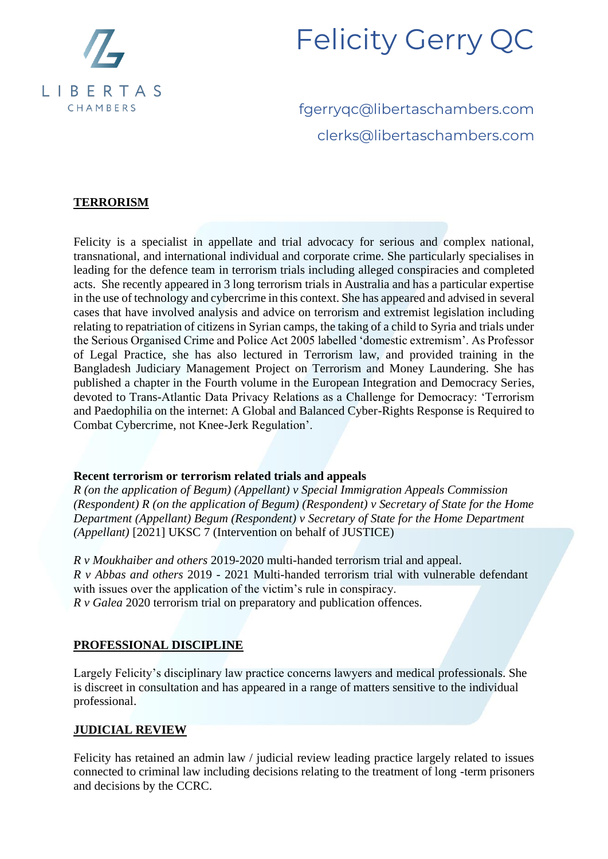

fgerryqc@libertaschambers.com clerks@libertaschambers.com

#### **TERRORISM**

Felicity is a specialist in appellate and trial advocacy for serious and complex national, transnational, and international individual and corporate crime. She particularly specialises in leading for the defence team in terrorism trials including alleged conspiracies and completed acts. She recently appeared in 3 long terrorism trials in Australia and has a particular expertise in the use of technology and cybercrime in this context. She has appeared and advised in several cases that have involved analysis and advice on terrorism and extremist legislation including relating to repatriation of citizens in Syrian camps, the taking of a child to Syria and trials under the Serious Organised Crime and Police Act 2005 labelled 'domestic extremism'. As Professor of Legal Practice, she has also lectured in Terrorism law, and provided training in the Bangladesh Judiciary Management Project on Terrorism and Money Laundering. She has published a chapter in the Fourth volume in the European Integration and Democracy Series, devoted to Trans-Atlantic Data Privacy Relations as a Challenge for Democracy: 'Terrorism and Paedophilia on the internet: A Global and Balanced Cyber-Rights Response is Required to Combat Cybercrime, not Knee-Jerk Regulation'.

#### **Recent terrorism or terrorism related trials and appeals**

*R (on the application of Begum) (Appellant) v Special Immigration Appeals Commission (Respondent) R (on the application of Begum) (Respondent) v Secretary of State for the Home Department (Appellant) Begum (Respondent) v Secretary of State for the Home Department (Appellant)* [2021] UKSC 7 (Intervention on behalf of JUSTICE)

*R v Moukhaiber and others* 2019-2020 multi-handed terrorism trial and appeal. *R v Abbas and others* 2019 - 2021 Multi-handed terrorism trial with vulnerable defendant with issues over the application of the victim's rule in conspiracy. *R v Galea* 2020 terrorism trial on preparatory and publication offences.

#### **PROFESSIONAL DISCIPLINE**

Largely Felicity's disciplinary law practice concerns lawyers and medical professionals. She is discreet in consultation and has appeared in a range of matters sensitive to the individual professional.

#### **JUDICIAL REVIEW**

Felicity has retained an admin law / judicial review leading practice largely related to issues connected to criminal law including decisions relating to the treatment of long -term prisoners and decisions by the CCRC.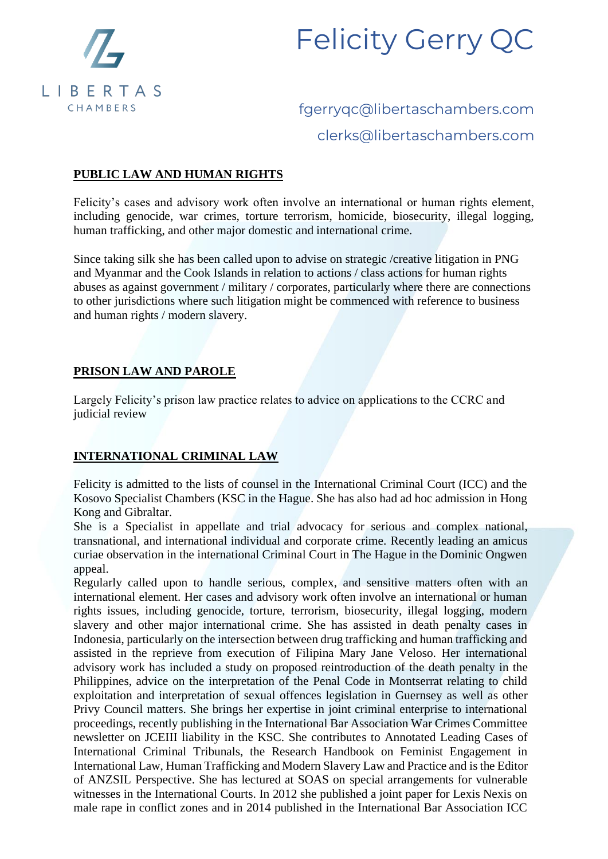

# fgerryqc@libertaschambers.com clerks@libertaschambers.com

#### **PUBLIC LAW AND HUMAN RIGHTS**

Felicity's cases and advisory work often involve an international or human rights element, including genocide, war crimes, torture terrorism, homicide, biosecurity, illegal logging, human trafficking, and other major domestic and international crime.

Since taking silk she has been called upon to advise on strategic /creative litigation in PNG and Myanmar and the Cook Islands in relation to actions / class actions for human rights abuses as against government / military / corporates, particularly where there are connections to other jurisdictions where such litigation might be commenced with reference to business and human rights / modern slavery.

#### **PRISON LAW AND PAROLE**

Largely Felicity's prison law practice relates to advice on applications to the CCRC and judicial review

#### **INTERNATIONAL CRIMINAL LAW**

Felicity is admitted to the lists of counsel in the International Criminal Court (ICC) and the Kosovo Specialist Chambers (KSC in the Hague. She has also had ad hoc admission in Hong Kong and Gibraltar.

She is a Specialist in appellate and trial advocacy for serious and complex national, transnational, and international individual and corporate crime. Recently leading an amicus curiae observation in the international Criminal Court in The Hague in the Dominic Ongwen appeal.

Regularly called upon to handle serious, complex, and sensitive matters often with an international element. Her cases and advisory work often involve an international or human rights issues, including genocide, torture, terrorism, biosecurity, illegal logging, modern slavery and other major international crime. She has assisted in death penalty cases in Indonesia, particularly on the intersection between drug trafficking and human trafficking and assisted in the reprieve from execution of Filipina Mary Jane Veloso. Her international advisory work has included a study on proposed reintroduction of the death penalty in the Philippines, advice on the interpretation of the Penal Code in Montserrat relating to child exploitation and interpretation of sexual offences legislation in Guernsey as well as other Privy Council matters. She brings her expertise in joint criminal enterprise to international proceedings, recently publishing in the International Bar Association War Crimes Committee newsletter on JCEIII liability in the KSC. She contributes to Annotated Leading Cases of International Criminal Tribunals, the Research Handbook on Feminist Engagement in International Law, Human Trafficking and Modern Slavery Law and Practice and is the Editor of ANZSIL Perspective. She has lectured at SOAS on special arrangements for vulnerable witnesses in the International Courts. In 2012 she published a joint paper for Lexis Nexis on male rape in conflict zones and in 2014 published in the International Bar Association ICC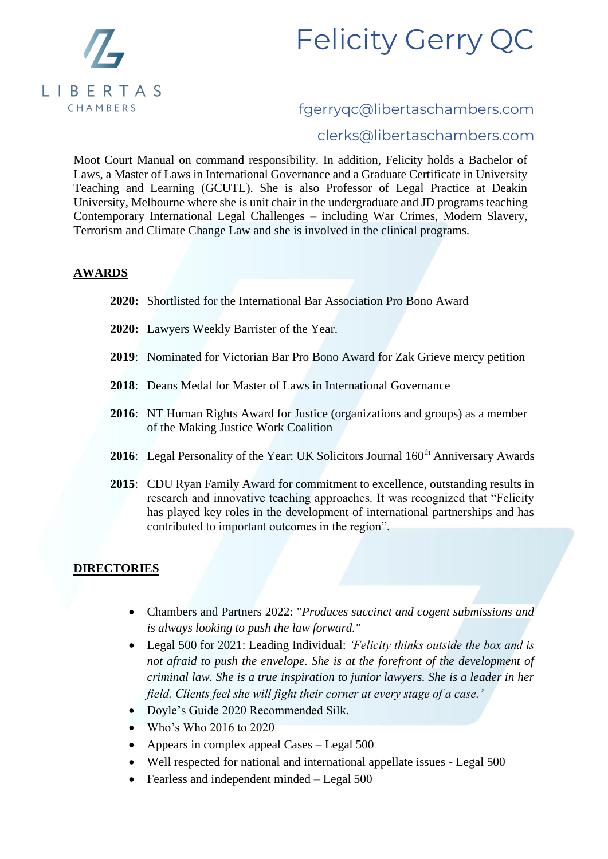

### fgerryqc@libertaschambers.com

### clerks@libertaschambers.com

Moot Court Manual on command responsibility. In addition, Felicity holds a Bachelor of Laws, a Master of Laws in International Governance and a Graduate Certificate in University Teaching and Learning (GCUTL). She is also Professor of Legal Practice at Deakin University, Melbourne where she is unit chair in the undergraduate and JD programs teaching Contemporary International Legal Challenges – including War Crimes, Modern Slavery, Terrorism and Climate Change Law and she is involved in the clinical programs.

#### **AWARDS**

- **2020:** Shortlisted for the International Bar Association Pro Bono Award
- **2020:** Lawyers Weekly Barrister of the Year.
- **2019**: Nominated for Victorian Bar Pro Bono Award for Zak Grieve mercy petition
- **2018**: Deans Medal for Master of Laws in International Governance
- **2016**: NT Human Rights Award for Justice (organizations and groups) as a member of the Making Justice Work Coalition
- 2016: Legal Personality of the Year: UK Solicitors Journal 160<sup>th</sup> Anniversary Awards
- **2015**: CDU Ryan Family Award for commitment to excellence, outstanding results in research and innovative teaching approaches. It was recognized that "Felicity has played key roles in the development of international partnerships and has contributed to important outcomes in the region".

#### **DIRECTORIES**

- Chambers and Partners 2022: "*Produces succinct and cogent submissions and is always looking to push the law forward."*
- Legal 500 for 2021: Leading Individual: *'Felicity thinks outside the box and is not afraid to push the envelope. She is at the forefront of the development of criminal law. She is a true inspiration to junior lawyers. She is a leader in her field. Clients feel she will fight their corner at every stage of a case.'*
- Doyle's Guide 2020 Recommended Silk.
- Who's Who 2016 to 2020
- Appears in complex appeal Cases Legal 500
- Well respected for national and international appellate issues Legal 500
- Fearless and independent minded Legal 500